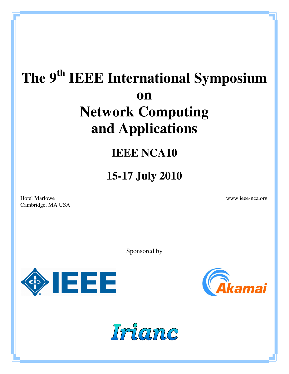# **The 9th IEEE International Symposium on Network Computing and Applications**

# **IEEE NCA10**

# **15-17 July 2010**

Hotel Marlowe www.ieee-nca.org Cambridge, MA USA

Sponsored by





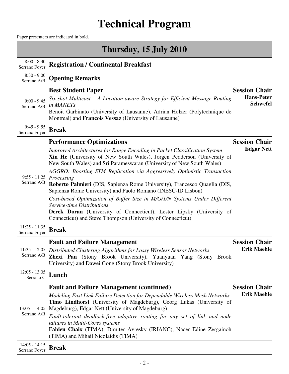# **Technical Program**

Paper presenters are indicated in bold.

|                                                   | a aper presenters are marcated in bord.                                                                                                                                                                                                                                                                                                                                                                                                                                                                                                                                                                                                                                                                                                                                  |                                                              |
|---------------------------------------------------|--------------------------------------------------------------------------------------------------------------------------------------------------------------------------------------------------------------------------------------------------------------------------------------------------------------------------------------------------------------------------------------------------------------------------------------------------------------------------------------------------------------------------------------------------------------------------------------------------------------------------------------------------------------------------------------------------------------------------------------------------------------------------|--------------------------------------------------------------|
|                                                   | Thursday, 15 July 2010                                                                                                                                                                                                                                                                                                                                                                                                                                                                                                                                                                                                                                                                                                                                                   |                                                              |
| $8:00 - 8:30$<br>Serrano Foyer                    | <b>Registration / Continental Breakfast</b>                                                                                                                                                                                                                                                                                                                                                                                                                                                                                                                                                                                                                                                                                                                              |                                                              |
| $8:30 - 9:00$<br>Serrano A/B                      | <b>Opening Remarks</b>                                                                                                                                                                                                                                                                                                                                                                                                                                                                                                                                                                                                                                                                                                                                                   |                                                              |
| $9:00 - 9:45$<br>Serrano A/B                      | <b>Best Student Paper</b><br>Six-shot Multicast – A Location-aware Strategy for Efficient Message Routing<br>in MANETs<br>Benoit Garbinato (University of Lausanne), Adrian Holzer (Polytechnique de<br>Montreal) and <b>Francois Vessaz</b> (University of Lausanne)                                                                                                                                                                                                                                                                                                                                                                                                                                                                                                    | <b>Session Chair</b><br><b>Hans-Peter</b><br><b>Schwefel</b> |
| $9:45 - 9:55$<br>Serrano Foyer                    | <b>Break</b>                                                                                                                                                                                                                                                                                                                                                                                                                                                                                                                                                                                                                                                                                                                                                             |                                                              |
| $9:55 - 11:25$<br>Serrano A/B<br>$11:25 - 11:35$  | <b>Performance Optimizations</b><br>Improved Architectures for Range Encoding in Packet Classification System<br>Xin He (University of New South Wales), Jorgen Pedderson (University of<br>New South Wales) and Sri Parameswaran (University of New South Wales)<br>AGGRO: Boosting STM Replication via Aggressively Optimistic Transaction<br>Processing<br>Roberto Palmieri (DIS, Sapienza Rome University), Francesco Quaglia (DIS,<br>Sapienza Rome University) and Paolo Romano (INESC-ID Lisbon)<br>Cost-based Optimization of Buffer Size in M/G/1/N Systems Under Different<br><b>Service-time Distributions</b><br><b>Derek Doran</b> (University of Connecticut), Lester Lipsky (University of<br>Connecticut) and Steve Thompson (University of Connecticut) | <b>Session Chair</b><br><b>Edgar Nett</b>                    |
| Serrano Foyer<br>Serrano A/B                      | <b>Break</b><br><b>Fault and Failure Management</b><br>11:35 - 12:05 Distributed Clustering Algorithms for Lossy Wireless Sensor Networks<br>Zhexi Pan (Stony Brook University), Yuanyuan Yang (Stony Brook<br>University) and Dawei Gong (Stony Brook University)                                                                                                                                                                                                                                                                                                                                                                                                                                                                                                       | <b>Session Chair</b><br><b>Erik Maehle</b>                   |
| $12:05 - 13:05$<br>Serrano C                      | Lunch                                                                                                                                                                                                                                                                                                                                                                                                                                                                                                                                                                                                                                                                                                                                                                    |                                                              |
| $13:05 - 14:05$<br>Serrano A/B<br>$14:05 - 14:15$ | <b>Fault and Failure Management (continued)</b><br>Modeling Fast Link Failure Detection for Dependable Wireless Mesh Networks<br>Timo Lindhorst (University of Magdeburg), Georg Lukas (University of<br>Magdeburg), Edgar Nett (University of Magdeburg)<br>Fault-tolerant deadlock-free adaptive routing for any set of link and node<br>failures in Multi-Cores systems<br>Fabien Chaix (TIMA), Dimiter Avresky (IRIANC), Nacer Edine Zergainoh<br>(TIMA) and Mihail Nicolaidis (TIMA)                                                                                                                                                                                                                                                                                | <b>Session Chair</b><br><b>Erik Maehle</b>                   |

14:05 - 14:15 Serrano Foyer **Break**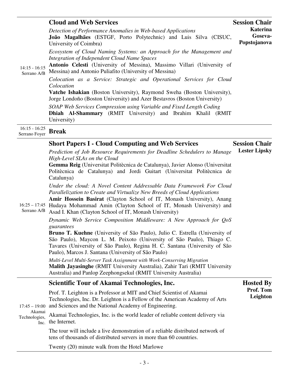|                                  | <b>Cloud and Web Services</b>                                                                                                                                                                                                                                     | <b>Session Chair</b>                |
|----------------------------------|-------------------------------------------------------------------------------------------------------------------------------------------------------------------------------------------------------------------------------------------------------------------|-------------------------------------|
| $14:15 - 16:15$<br>Serrano A/B   | Detection of Performance Anomalies in Web-based Applications<br>João Magalhães (ESTGF, Porto Polytechnic) and Luis Silva (CISUC,<br>University of Coimbra)                                                                                                        | Katerina<br>Goseva-<br>Popstojanova |
|                                  | Ecosystem of Cloud Naming Systems: an Approach for the Management and<br><b>Integration of Independent Cloud Name Spaces</b><br>Antonio Celesti (University of Messina), Massimo Villari (University of<br>Messina) and Antonio Puliafito (University of Messina) |                                     |
|                                  | Colocation as a Service: Strategic and Operational Services for Cloud<br>Colocation<br>Vatche Ishakian (Boston University), Raymond Sweha (Boston University),<br>Jorge Londoño (Boston University) and Azer Bestavros (Boston University)                        |                                     |
|                                  | SOAP Web Services Compression using Variable and Fixed Length Coding<br><b>Dhiah Al-Shammary</b> (RMIT University) and Ibrahim Khalil (RMIT<br>University)                                                                                                        |                                     |
| $16:15 - 16:25$<br>Serrano Foyer | <b>Break</b>                                                                                                                                                                                                                                                      |                                     |
|                                  | <b>Short Papers I - Cloud Computing and Web Services</b>                                                                                                                                                                                                          | <b>Session Chair</b>                |

| <b>Short Papers I - Cloud Computing and Web Services</b>                  |  |
|---------------------------------------------------------------------------|--|
| Prediction of Job Resource Requirements for Deadline Schedulers to Manage |  |

*High-Level SLAs on the Cloud* 

**Gemma Reig** (Universitat Politècnica de Catalunya), Javier Alonso (Universitat Politècnica de Catalunya) and Jordi Guitart (Universitat Politècnica de Catalunya)

**Lester Lipsky**

**Hosted By**

*Under the cloud: A Novel Content Addressable Data Framework For Cloud Parallelization to Create and Virtualize New Breeds of Cloud Applications*

16:25 – 17:45 Hudaya Mohammad Amin (Clayton School of IT, Monash University) and **Amir Hossein Basirat** (Clayton School of IT, Monash University), Anang

Serrano A/B Asad I. Khan (Clayton School of IT, Monash University)

*Dynamic Web Service Composition Middleware: A New Approach for QoS guarantees*

**Bruno T. Kuehne** (University of São Paulo), Julio C. Estrella (University of São Paulo), Maycon L. M. Peixoto (University of São Paulo), Thiago C. Tavares (University of São Paulo), Regina H. C. Santana (University of São Paulo), Marcos J. Santana (University of São Paulo)

*Multi-Level Multi-Server Task Assignment with Work-Conserving Migration* **Malith Jayasinghe** (RMIT University Australia), Zahir Tari (RMIT University Australia) and Panlop Zeephongsekul (RMIT University Australia)

### **Scientific Tour of Akamai Technologies, Inc.**

| Akamai<br>Technologies, | Prof. T. Leighton is a Professor at MIT and Chief Scientist of Akamai<br>Technologies, Inc. Dr. Leighton is a Fellow of the American Academy of Arts<br>17:45 – 19:00 and Sciences and the National Academy of Engineering.<br>Akamai Technologies, Inc. is the world leader of reliable content delivery via<br>$\overline{I}$ the Internet. | Prof. Tom<br>Leighton |
|-------------------------|-----------------------------------------------------------------------------------------------------------------------------------------------------------------------------------------------------------------------------------------------------------------------------------------------------------------------------------------------|-----------------------|
|                         | The tour will include a live demonstration of a reliable distributed network of<br>tens of thousands of distributed servers in more than 60 countries.                                                                                                                                                                                        |                       |

Twenty (20) minute walk from the Hotel Marlowe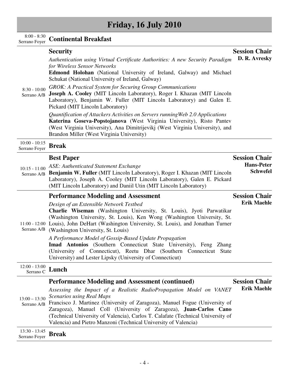## **Friday, 16 July 2010**

## 8:00 - 8:30 Serrano Foyer **Continental Breakfast**

| $8:30 - 10:00$<br>Serrano A/B    | <b>Security</b><br>Authentication using Virtual Certificate Authorities: A new Security Paradigm<br>for Wireless Sensor Networks<br><b>Edmond Holohan</b> (National University of Ireland, Galway) and Michael<br>Schukat (National University of Ireland, Galway)<br>GROK: A Practical System for Securing Group Communications<br>Joseph A. Cooley (MIT Lincoln Laboratory), Roger I. Khazan (MIT Lincoln<br>Laboratory), Benjamin W. Fuller (MIT Lincoln Laboratory) and Galen E.<br>Pickard (MIT Lincoln Laboratory)<br>Quantification of Attackers Activities on Servers running Web 2.0 Applications<br>Katerina Goseva-Popstojanova (West Virginia University), Risto Pantev<br>(West Virginia University), Ana Dimitrijevikj (West Virginia University), and<br>Brandon Miller (West Virginia University) | <b>Session Chair</b><br>D. R. Avresky                        |
|----------------------------------|-------------------------------------------------------------------------------------------------------------------------------------------------------------------------------------------------------------------------------------------------------------------------------------------------------------------------------------------------------------------------------------------------------------------------------------------------------------------------------------------------------------------------------------------------------------------------------------------------------------------------------------------------------------------------------------------------------------------------------------------------------------------------------------------------------------------|--------------------------------------------------------------|
| $10:00 - 10:15$<br>Serrano Foyer | <b>Break</b>                                                                                                                                                                                                                                                                                                                                                                                                                                                                                                                                                                                                                                                                                                                                                                                                      |                                                              |
| $10:15 - 11:00$<br>Serrano A/B   | <b>Best Paper</b><br>ASE: Authenticated Statement Exchange<br>Benjamin W. Fuller (MIT Lincoln Laboratory), Roger I. Khazan (MIT Lincoln<br>Laboratory), Joseph A. Cooley (MIT Lincoln Laboratory), Galen E. Pickard<br>(MIT Lincoln Laboratory) and Daniil Utin (MIT Lincoln Laboratory)                                                                                                                                                                                                                                                                                                                                                                                                                                                                                                                          | <b>Session Chair</b><br><b>Hans-Peter</b><br><b>Schwefel</b> |
| Serrano A/B                      | <b>Performance Modeling and Assessment</b><br>Design of an Extensible Network Testbed<br>Charlie Wiseman (Washington University, St. Louis), Jyoti Parwatikar<br>(Washington University, St. Louis), Ken Wong (Washington University, St.<br>11:00 - 12:00 Louis), John DeHart (Washington University, St. Louis), and Jonathan Turner<br>(Washington University, St. Louis)<br>A Performance Model of Gossip-Based Update Propagation<br>Imad Antonios (Southern Connecticut State University), Feng Zhang<br>(University of Connecticut), Reetu Dhar (Southern Connecticut State<br>University) and Lester Lipsky (University of Connecticut)                                                                                                                                                                   | <b>Session Chair</b><br><b>Erik Maehle</b>                   |
| $12:00 - 13:00$<br>Serrano C     | Lunch                                                                                                                                                                                                                                                                                                                                                                                                                                                                                                                                                                                                                                                                                                                                                                                                             |                                                              |
| $13:00 - 13:30$<br>Serrano A/B   | <b>Performance Modeling and Assessment (continued)</b><br>Assessing the Impact of a Realistic RadioPropagation Model on VANET<br><b>Scenarios using Real Maps</b><br>Francisco J. Martinez (University of Zaragoza), Manuel Fogue (University of<br>Zaragoza), Manuel Coll (University of Zaragoza), Juan-Carlos Cano<br>(Technical University of Valencia), Carlos T. Calafate (Technical University of<br>Valencia) and Pietro Manzoni (Technical University of Valencia)                                                                                                                                                                                                                                                                                                                                       | <b>Session Chair</b><br><b>Erik Maehle</b>                   |

13:30 - 13:45 Serrano Foyer **Break**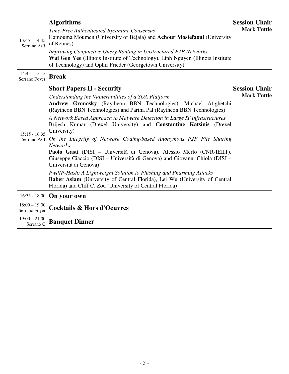|                                  | <b>Algorithms</b>                                                                                                                                                                                               | <b>Session Chair</b> |
|----------------------------------|-----------------------------------------------------------------------------------------------------------------------------------------------------------------------------------------------------------------|----------------------|
| $13:45 - 14:45$<br>Serrano A/B   | Time-Free Authenticated Byzantine Consensus<br>Hamouma Moumen (University of Béjaia) and Achour Mostefaoui (University<br>of Rennes)                                                                            | <b>Mark Tuttle</b>   |
|                                  | Improving Conjunctive Query Routing in Unstructured P2P Networks<br>Wai Gen Yee (Illinois Institute of Technology), Linh Nguyen (Illinois Institute<br>of Technology) and Ophir Frieder (Georgetown University) |                      |
| $14:45 - 15:15$<br>Serrano Foyer | <b>Break</b>                                                                                                                                                                                                    |                      |
|                                  | <b>Short Papers II - Security</b>                                                                                                                                                                               | <b>Session Chair</b> |
| $15:15 - 16:35$<br>Serrano A/B   | Understanding the Vulnerabilities of a SOA Platform<br>Andrew Gronosky (Raytheon BBN Technologies), Michael Atighetchi<br>(Raytheon BBN Technologies) and Partha Pal (Raytheon BBN Technologies)                | <b>Mark Tuttle</b>   |
|                                  | A Network Based Approach to Malware Detection in Large IT Infrastructures<br>Brijesh Kumar (Drexel University) and <b>Constantine Katsinis</b> (Drexel<br>University)                                           |                      |
|                                  | On the Integrity of Network Coding-based Anonymous P2P File Sharing<br><b>Networks</b>                                                                                                                          |                      |
|                                  | Paolo Gasti (DISI – Università di Genova), Alessio Merlo (CNR-IEIIT),<br>Giuseppe Ciaccio (DISI – Università di Genova) and Giovanni Chiola (DISI –<br>Università di Genova)                                    |                      |
|                                  | PwdIP-Hash: A Lightweight Solution to Phishing and Pharming Attacks<br>Baber Aslam (University of Central Florida), Lei Wu (University of Central<br>Florida) and Cliff C. Zou (University of Central Florida)  |                      |
|                                  | 16:35 - 18:00 On your own                                                                                                                                                                                       |                      |
| $18.00 - 19.00$                  |                                                                                                                                                                                                                 |                      |

|  | $\frac{10,00-19,00}{\text{Serrano Foyer}}$ Cocktails & Hors d'Oeuvres |
|--|-----------------------------------------------------------------------|

19:00 – 21:00 Serrano C **Banquet Dinner**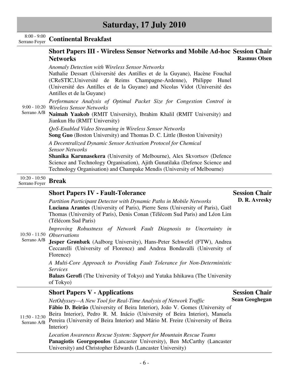| $8:00 - 9:00$<br>Serrano Foyer   | <b>Continental Breakfast</b>                                                                                                                                                                                                                                                                                            |                       |
|----------------------------------|-------------------------------------------------------------------------------------------------------------------------------------------------------------------------------------------------------------------------------------------------------------------------------------------------------------------------|-----------------------|
|                                  | <b>Short Papers III - Wireless Sensor Networks and Mobile Ad-hoc Session Chair</b><br><b>Networks</b>                                                                                                                                                                                                                   | <b>Rasmus Olsen</b>   |
| Serrano A/B                      | <b>Anomaly Detection with Wireless Sensor Networks</b><br>Nathalie Dessart (Université des Antilles et de la Guyane), Hacène Fouchal<br>(CReSTIC, Université de Reims Champagne-Ardenne), Philippe<br>Hunel<br>(Université des Antilles et de la Guyane) and Nicolas Vidot (Université des<br>Antilles et de la Guyane) |                       |
|                                  | Performance Analysis of Optimal Packet Size for Congestion Control in<br>9:00 - 10:20 Wireless Sensor Networks<br>Naimah Yaakob (RMIT University), Ibrahim Khalil (RMIT University) and<br>Jiankun Hu (RMIT University)                                                                                                 |                       |
|                                  | QoS-Enabled Video Streaming in Wireless Sensor Networks<br><b>Song Guo</b> (Boston University) and Thomas D. C. Little (Boston University)                                                                                                                                                                              |                       |
|                                  | A Decentralized Dynamic Sensor Activation Protocol for Chemical<br><b>Sensor Networks</b>                                                                                                                                                                                                                               |                       |
|                                  | Shanika Karunasekera (University of Melbourne), Alex Skvortsov (Defence<br>Science and Technology Organisation), Ajith Gunatilaka (Defence Science and<br>Technology Organisation) and Champake Mendis (University of Melbourne)                                                                                        |                       |
| $10:20 - 10:50$<br>Serrano Foyer | <b>Break</b>                                                                                                                                                                                                                                                                                                            |                       |
|                                  | <b>Short Papers IV - Fault-Tolerance</b>                                                                                                                                                                                                                                                                                | <b>Session Chair</b>  |
| Serrano A/B                      | Partition Participant Detector with Dynamic Paths in Mobile Networks<br>Luciana Arantes (University of Paris), Pierre Sens (University of Paris), Gaël<br>Thomas (University of Paris), Denis Conan (Télécom Sud Paris) and Léon Lim<br>(Télécom Sud Paris)                                                             | D. R. Avresky         |
|                                  | Improving Robustness of Network Fault Diagnosis to Uncertainty in<br>$10:50 - 11:50$ Observations<br>Jesper Grønbæk (Aalborg University), Hans-Peter Schwefel (FTW), Andrea                                                                                                                                             |                       |
|                                  | Ceccarelli (University of Florence) and Andrea Bondavalli (University of<br>Florence)                                                                                                                                                                                                                                   |                       |
|                                  | A Multi-Core Approach to Providing Fault Tolerance for Non-Deterministic<br><i>Services</i>                                                                                                                                                                                                                             |                       |
|                                  | <b>Balazs Gerofi</b> (The University of Tokyo) and Yutaka Ishikawa (The University<br>of Tokyo)                                                                                                                                                                                                                         |                       |
|                                  | <b>Short Papers V - Applications</b>                                                                                                                                                                                                                                                                                    | <b>Session Chair</b>  |
| $11:50 - 12:30$<br>Serrano A/B   | NetOdyssey—A New Tool for Real-Time Analysis of Network Traffic<br>Fábio D. Beirão (University of Beira Interior), João V. Gomes (University of<br>Beira Interior), Pedro R. M. Inácio (University of Beira Interior), Manuela<br>Pereira (University of Beira Interior) and Mário M. Freire (University of Beira       | <b>Sean Geoghegan</b> |

Interior)

*Location Awareness Rescue System: Support for Mountain Rescue Teams*  **Panagiotis Georgopoulos** (Lancaster University), Ben McCarthy (Lancaster University) and Christopher Edwards (Lancaster University)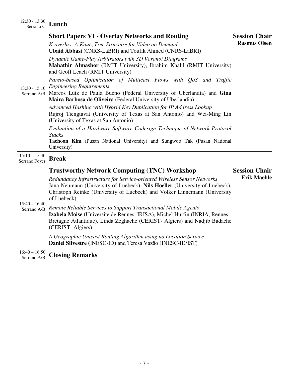## 12:30 - 13:30 Serrano C **Lunch**

| SUITANO U                        |                                                                                                                                                                                                                                                                                                           |                                             |
|----------------------------------|-----------------------------------------------------------------------------------------------------------------------------------------------------------------------------------------------------------------------------------------------------------------------------------------------------------|---------------------------------------------|
| $13:30 - 15:10$<br>Serrano A/B   | <b>Short Papers VI - Overlay Networks and Routing</b><br>K-overlay: A Kautz Tree Structure for Video on Demand<br><b>Ubaid Abbasi</b> (CNRS-LaBRI) and Toufik Ahmed (CNRS-LaBRI)                                                                                                                          | <b>Session Chair</b><br><b>Rasmus Olsen</b> |
|                                  | Dynamic Game-Play Arbitrators with 3D Voronoi Diagrams<br>Mahathir Almashor (RMIT University), Ibrahim Khalil (RMIT University)<br>and Geoff Leach (RMIT University)                                                                                                                                      |                                             |
|                                  | Pareto-based Optimization of Multicast Flows with QoS and Traffic<br><b>Engineering Requirements</b><br>Marcos Luiz de Paula Bueno (Federal University of Uberlandia) and Gina<br>Maira Barbosa de Oliveira (Federal University of Uberlandia)                                                            |                                             |
|                                  | Advanced Hashing with Hybrid Key Duplication for IP Address Lookup<br>Rujroj Tiengtavat (University of Texas at San Antonio) and Wei-Ming Lin<br>(University of Texas at San Antonio)                                                                                                                     |                                             |
|                                  | Evaluation of a Hardware-Software Codesign Technique of Network Protocol<br><b>Stacks</b><br>Taehoon Kim (Pusan National University) and Sungwoo Tak (Pusan National<br>University)                                                                                                                       |                                             |
| $15:10 - 15:40$<br>Serrano Foyer | <b>Break</b>                                                                                                                                                                                                                                                                                              |                                             |
| $15:40 - 16:40$<br>Serrano A/B   | <b>Trustworthy Network Computing (TNC) Workshop</b><br>Redundancy Infrastructure for Service-oriented Wireless Sensor Networks<br>Jana Neumann (University of Luebeck), Nils Hoeller (University of Luebeck),<br>Christoph Reinke (University of Luebeck) and Volker Linnemann (University<br>of Luebeck) | <b>Session Chair</b><br><b>Erik Maehle</b>  |
|                                  | Remote Reliable Services to Support Transactional Mobile Agents<br>Izabela Moise (Universite de Rennes, IRISA), Michel Hurfin (INRIA, Rennes -<br>Bretagne Atlantique), Linda Zeghache (CERIST- Algiers) and Nadjib Badache<br>(CERIST-Algiers)                                                           |                                             |
|                                  | A Geographic Unicast Routing Algorithm using no Location Service<br>Daniel Silvestre (INESC-ID) and Teresa Vazão (INESC-ID/IST)                                                                                                                                                                           |                                             |

16:40 – 16:50 Serrano A/B **Closing Remarks**